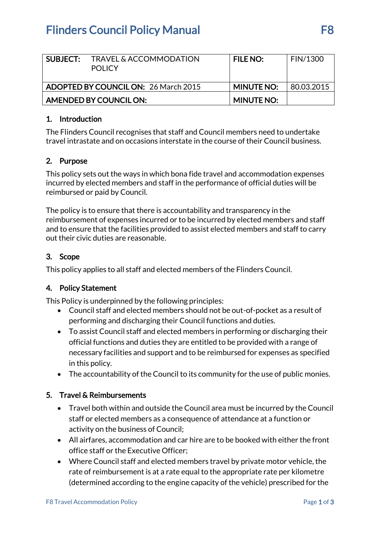# **Flinders Council Policy Manual F8**

| SUBJECT:                                    | TRAVEL & ACCOMMODATION<br><b>POLICY</b> | <b>FILE NO:</b>   | <b>FIN/1300</b> |
|---------------------------------------------|-----------------------------------------|-------------------|-----------------|
| <b>ADOPTED BY COUNCIL ON: 26 March 2015</b> |                                         | <b>MINUTE NO:</b> | 80.03.2015      |
| AMENDED BY COUNCIL ON:                      |                                         | <b>MINUTE NO:</b> |                 |

#### 1. Introduction

The Flinders Council recognises that staff and Council members need to undertake travel intrastate and on occasions interstate in the course of their Council business.

### 2. Purpose

This policy sets out the ways in which bona fide travel and accommodation expenses incurred by elected members and staff in the performance of official duties will be reimbursed or paid by Council.

The policy is to ensure that there is accountability and transparency in the reimbursement of expenses incurred or to be incurred by elected members and staff and to ensure that the facilities provided to assist elected members and staff to carry out their civic duties are reasonable.

#### 3. Scope

This policy applies to all staff and elected members of the Flinders Council.

#### 4. Policy Statement

This Policy is underpinned by the following principles:

- Council staff and elected members should not be out-of-pocket as a result of performing and discharging their Council functions and duties.
- To assist Council staff and elected members in performing or discharging their official functions and duties they are entitled to be provided with a range of necessary facilities and support and to be reimbursed for expenses as specified in this policy.
- The accountability of the Council to its community for the use of public monies.

#### 5. Travel & Reimbursements

- Travel both within and outside the Council area must be incurred by the Council staff or elected members as a consequence of attendance at a function or activity on the business of Council;
- All airfares, accommodation and car hire are to be booked with either the front office staff or the Executive Officer;
- Where Council staff and elected members travel by private motor vehicle, the rate of reimbursement is at a rate equal to the appropriate rate per kilometre (determined according to the engine capacity of the vehicle) prescribed for the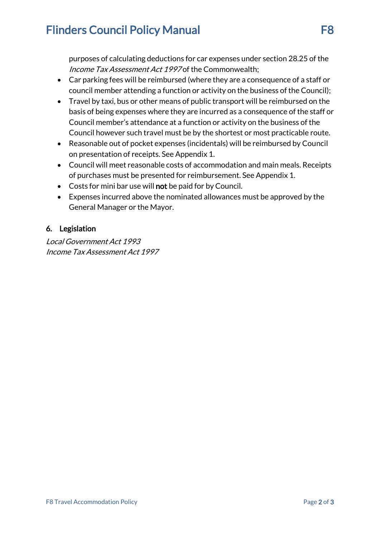# **Flinders Council Policy Manual F8**

purposes of calculating deductions for car expenses under section 28.25 of the Income Tax Assessment Act 1997 of the Commonwealth;

- Car parking fees will be reimbursed (where they are a consequence of a staff or council member attending a function or activity on the business of the Council);
- Travel by taxi, bus or other means of public transport will be reimbursed on the basis of being expenses where they are incurred as a consequence of the staff or Council member's attendance at a function or activity on the business of the Council however such travel must be by the shortest or most practicable route.
- Reasonable out of pocket expenses (incidentals) will be reimbursed by Council on presentation of receipts. See Appendix 1.
- Council will meet reasonable costs of accommodation and main meals. Receipts of purchases must be presented for reimbursement. See Appendix 1.
- Costs for mini bar use will not be paid for by Council.
- Expenses incurred above the nominated allowances must be approved by the General Manager or the Mayor.

### 6. Legislation

Local Government Act 1993 Income Tax Assessment Act 1997